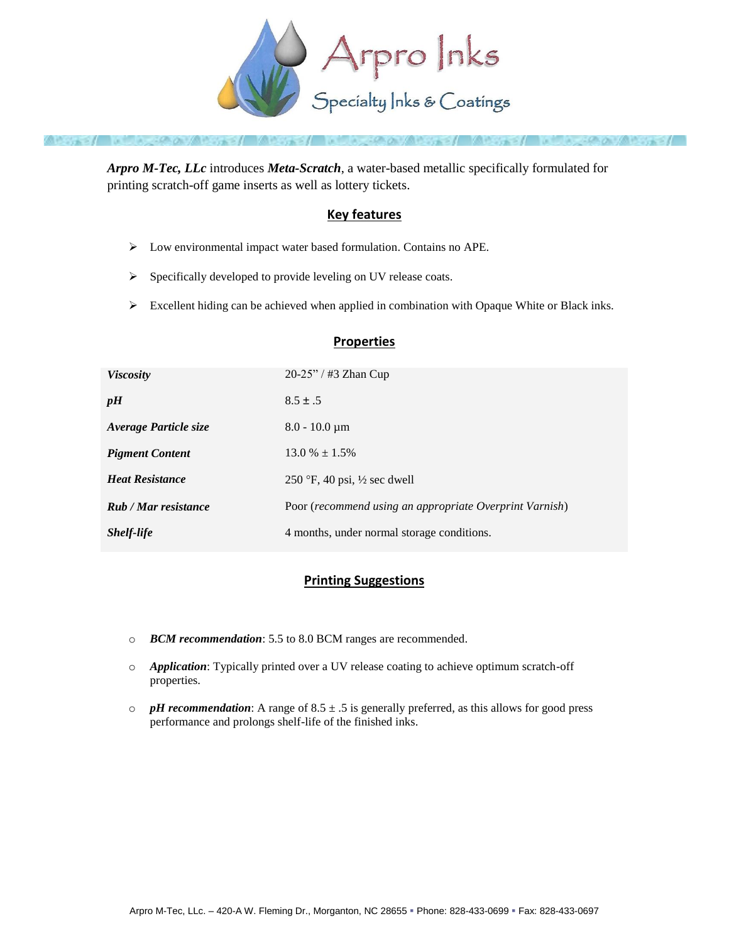

*Arpro M-Tec, LLc* introduces *Meta-Scratch*, a water-based metallic specifically formulated for printing scratch-off game inserts as well as lottery tickets.

## **Key features**

- Low environmental impact water based formulation. Contains no APE.
- Specifically developed to provide leveling on UV release coats.
- $\triangleright$  Excellent hiding can be achieved when applied in combination with Opaque White or Black inks.

## **Properties**

| <b>Viscosity</b>       | $20-25"$ / #3 Zhan Cup                                  |
|------------------------|---------------------------------------------------------|
| pH                     | $8.5 \pm .5$                                            |
| Average Particle size  | $8.0 - 10.0 \mu m$                                      |
| <b>Pigment Content</b> | $13.0\% \pm 1.5\%$                                      |
| <b>Heat Resistance</b> | 250 °F, 40 psi, $\frac{1}{2}$ sec dwell                 |
| Rub / Mar resistance   | Poor (recommend using an appropriate Overprint Varnish) |
| <b>Shelf-life</b>      | 4 months, under normal storage conditions.              |

## **Printing Suggestions**

- o *BCM recommendation*: 5.5 to 8.0 BCM ranges are recommended.
- o *Application*: Typically printed over a UV release coating to achieve optimum scratch-off properties.
- $\circ$  *pH recommendation*: A range of 8.5  $\pm$  .5 is generally preferred, as this allows for good press performance and prolongs shelf-life of the finished inks.